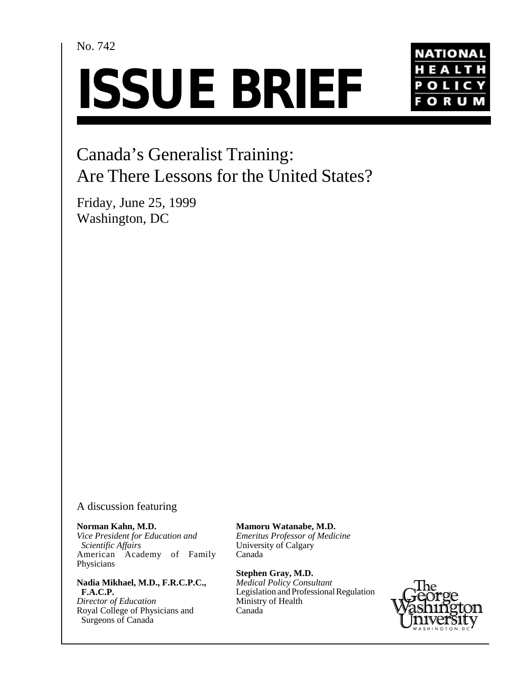## No. 742

# **ISSUE BRIEF**



# Canada's Generalist Training: Are There Lessons for the United States?

Friday, June 25, 1999 Washington, DC

## A discussion featuring

#### **Norman Kahn, M.D.**

*Vice President for Education and Scientific Affairs* American Academy of Family Physicians

## **Nadia Mikhael, M.D., F.R.C.P.C., F.A.C.P.**

*Director of Education* Royal College of Physicians and Surgeons of Canada

## **Mamoru Watanabe, M.D.**

*Emeritus Professor of Medicine* University of Calgary Canada

**Stephen Gray, M.D.** 

*Medical Policy Consultant* Legislation and Professional Regulation Ministry of Health Canada

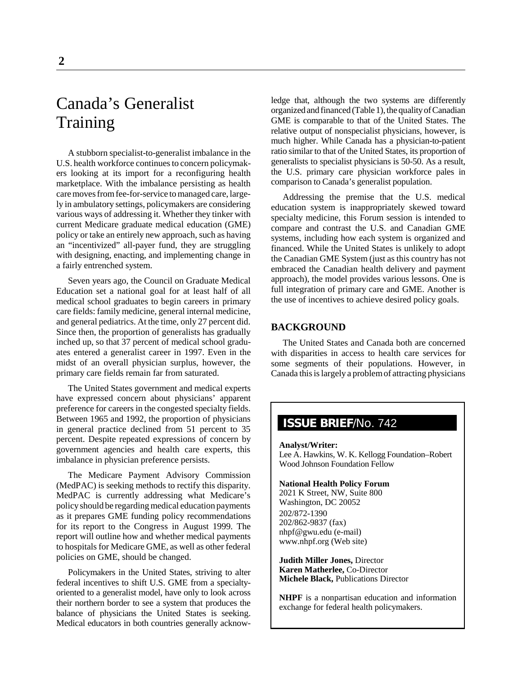## Canada's Generalist Training

A stubborn specialist-to-generalist imbalance in the U.S. health workforce continues to concern policymakers looking at its import for a reconfiguring health marketplace. With the imbalance persisting as health care moves from fee-for-service to managed care, largely in ambulatory settings, policymakers are considering various ways of addressing it. Whether they tinker with current Medicare graduate medical education (GME) policy or take an entirely new approach, such as having an "incentivized" all-payer fund, they are struggling with designing, enacting, and implementing change in a fairly entrenched system.

Seven years ago, the Council on Graduate Medical Education set a national goal for at least half of all medical school graduates to begin careers in primary care fields: family medicine, general internal medicine, and general pediatrics. At the time, only 27 percent did. Since then, the proportion of generalists has gradually inched up, so that 37 percent of medical school graduates entered a generalist career in 1997. Even in the midst of an overall physician surplus, however, the primary care fields remain far from saturated.

The United States government and medical experts have expressed concern about physicians' apparent preference for careers in the congested specialty fields. Between 1965 and 1992, the proportion of physicians in general practice declined from 51 percent to 35 percent. Despite repeated expressions of concern by government agencies and health care experts, this imbalance in physician preference persists.

The Medicare Payment Advisory Commission (MedPAC) is seeking methods to rectify this disparity. MedPAC is currently addressing what Medicare's policy should be regarding medical education payments as it prepares GME funding policy recommendations for its report to the Congress in August 1999. The report will outline how and whether medical payments to hospitals for Medicare GME, as well as other federal policies on GME, should be changed.

Policymakers in the United States, striving to alter federal incentives to shift U.S. GME from a specialtyoriented to a generalist model, have only to look across their northern border to see a system that produces the balance of physicians the United States is seeking. Medical educators in both countries generally acknowledge that, although the two systems are differently organized and financed (Table 1), the quality of Canadian GME is comparable to that of the United States. The relative output of nonspecialist physicians, however, is much higher. While Canada has a physician-to-patient ratio similar to that of the United States, its proportion of generalists to specialist physicians is 50-50. As a result, the U.S. primary care physician workforce pales in comparison to Canada's generalist population.

Addressing the premise that the U.S. medical education system is inappropriately skewed toward specialty medicine, this Forum session is intended to compare and contrast the U.S. and Canadian GME systems, including how each system is organized and financed. While the United States is unlikely to adopt the Canadian GME System (just as this country has not embraced the Canadian health delivery and payment approach), the model provides various lessons. One is full integration of primary care and GME. Another is the use of incentives to achieve desired policy goals.

### **BACKGROUND**

The United States and Canada both are concerned with disparities in access to health care services for some segments of their populations. However, in Canada this is largely a problem of attracting physicians

## **ISSUE BRIEF**/No. 742

**Analyst/Writer:** Lee A. Hawkins, W. K. Kellogg Foundation–Robert Wood Johnson Foundation Fellow

#### **National Health Policy Forum**

2021 K Street, NW, Suite 800 Washington, DC 20052 202/872-1390 202/862-9837 (fax) nhpf@gwu.edu (e-mail) www.nhpf.org (Web site)

**Judith Miller Jones,** Director **Karen Matherlee,** Co-Director **Michele Black,** Publications Director

**NHPF** is a nonpartisan education and information exchange for federal health policymakers.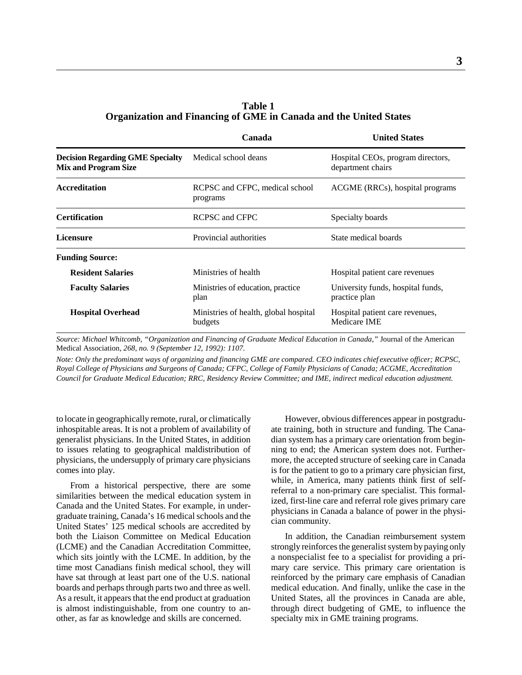## **Table 1 Organization and Financing of GME in Canada and the United States**

|                                                                        | Canada                                           | <b>United States</b>                                   |
|------------------------------------------------------------------------|--------------------------------------------------|--------------------------------------------------------|
| <b>Decision Regarding GME Specialty</b><br><b>Mix and Program Size</b> | Medical school deans                             | Hospital CEOs, program directors,<br>department chairs |
| <b>Accreditation</b>                                                   | RCPSC and CFPC, medical school<br>programs       | ACGME (RRCs), hospital programs                        |
| <b>Certification</b>                                                   | RCPSC and CFPC                                   | Specialty boards                                       |
| Licensure                                                              | Provincial authorities                           | State medical boards                                   |
| <b>Funding Source:</b>                                                 |                                                  |                                                        |
| <b>Resident Salaries</b>                                               | Ministries of health                             | Hospital patient care revenues                         |
| <b>Faculty Salaries</b>                                                | Ministries of education, practice.<br>plan       | University funds, hospital funds,<br>practice plan     |
| <b>Hospital Overhead</b>                                               | Ministries of health, global hospital<br>budgets | Hospital patient care revenues,<br>Medicare IME        |

*Source: Michael Whitcomb, "Organization and Financing of Graduate Medical Education in Canada,"* Journal of the American Medical Association, *268, no. 9 (September 12, 1992): 1107.*

*Note: Only the predominant ways of organizing and financing GME are compared. CEO indicates chief executive officer; RCPSC, Royal College of Physicians and Surgeons of Canada; CFPC, College of Family Physicians of Canada; ACGME, Accreditation Council for Graduate Medical Education; RRC, Residency Review Committee; and IME, indirect medical education adjustment.*

to locate in geographically remote, rural, or climatically inhospitable areas. It is not a problem of availability of generalist physicians. In the United States, in addition to issues relating to geographical maldistribution of physicians, the undersupply of primary care physicians comes into play.

From a historical perspective, there are some similarities between the medical education system in Canada and the United States. For example, in undergraduate training, Canada's 16 medical schools and the United States' 125 medical schools are accredited by both the Liaison Committee on Medical Education (LCME) and the Canadian Accreditation Committee, which sits jointly with the LCME. In addition, by the time most Canadians finish medical school, they will have sat through at least part one of the U.S. national boards and perhaps through parts two and three as well. As a result, it appears that the end product at graduation is almost indistinguishable, from one country to another, as far as knowledge and skills are concerned.

However, obvious differences appear in postgraduate training, both in structure and funding. The Canadian system has a primary care orientation from beginning to end; the American system does not. Furthermore, the accepted structure of seeking care in Canada is for the patient to go to a primary care physician first, while, in America, many patients think first of selfreferral to a non-primary care specialist. This formalized, first-line care and referral role gives primary care physicians in Canada a balance of power in the physician community.

In addition, the Canadian reimbursement system strongly reinforces the generalist system by paying only a nonspecialist fee to a specialist for providing a primary care service. This primary care orientation is reinforced by the primary care emphasis of Canadian medical education. And finally, unlike the case in the United States, all the provinces in Canada are able, through direct budgeting of GME, to influence the specialty mix in GME training programs.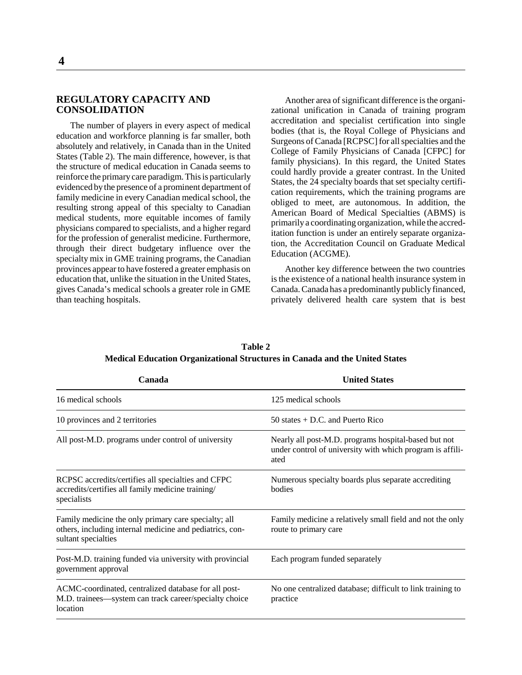## **REGULATORY CAPACITY AND CONSOLIDATION**

The number of players in every aspect of medical education and workforce planning is far smaller, both absolutely and relatively, in Canada than in the United States (Table 2). The main difference, however, is that the structure of medical education in Canada seems to reinforce the primary care paradigm. This is particularly evidenced by the presence of a prominent department of family medicine in every Canadian medical school, the resulting strong appeal of this specialty to Canadian medical students, more equitable incomes of family physicians compared to specialists, and a higher regard for the profession of generalist medicine. Furthermore, through their direct budgetary influence over the specialty mix in GME training programs, the Canadian provinces appear to have fostered a greater emphasis on education that, unlike the situation in the United States, gives Canada's medical schools a greater role in GME than teaching hospitals.

Another area of significant difference is the organizational unification in Canada of training program accreditation and specialist certification into single bodies (that is, the Royal College of Physicians and Surgeons of Canada [RCPSC] for all specialties and the College of Family Physicians of Canada [CFPC] for family physicians). In this regard, the United States could hardly provide a greater contrast. In the United States, the 24 specialty boards that set specialty certification requirements, which the training programs are obliged to meet, are autonomous. In addition, the American Board of Medical Specialties (ABMS) is primarily a coordinating organization, while the accreditation function is under an entirely separate organization, the Accreditation Council on Graduate Medical Education (ACGME).

Another key difference between the two countries is the existence of a national health insurance system in Canada. Canada has a predominantly publicly financed, privately delivered health care system that is best

| <b>United States</b>                                                                                                      |  |
|---------------------------------------------------------------------------------------------------------------------------|--|
| 125 medical schools                                                                                                       |  |
| 50 states $+$ D.C. and Puerto Rico                                                                                        |  |
| Nearly all post-M.D. programs hospital-based but not<br>under control of university with which program is affili-<br>ated |  |
| Numerous specialty boards plus separate accrediting<br>bodies                                                             |  |
| Family medicine a relatively small field and not the only<br>route to primary care                                        |  |
| Each program funded separately                                                                                            |  |
| No one centralized database; difficult to link training to<br>practice                                                    |  |
|                                                                                                                           |  |

**Table 2 Medical Education Organizational Structures in Canada and the United States**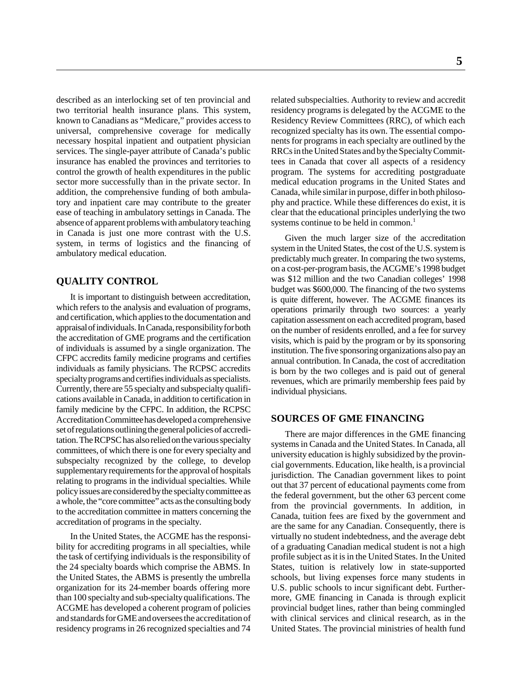described as an interlocking set of ten provincial and two territorial health insurance plans. This system, known to Canadians as "Medicare," provides access to universal, comprehensive coverage for medically necessary hospital inpatient and outpatient physician services. The single-payer attribute of Canada's public insurance has enabled the provinces and territories to control the growth of health expenditures in the public sector more successfully than in the private sector. In addition, the comprehensive funding of both ambulatory and inpatient care may contribute to the greater ease of teaching in ambulatory settings in Canada. The absence of apparent problems with ambulatory teaching in Canada is just one more contrast with the U.S. system, in terms of logistics and the financing of ambulatory medical education.

## **QUALITY CONTROL**

It is important to distinguish between accreditation, which refers to the analysis and evaluation of programs, and certification, which applies to the documentation and appraisal of individuals. In Canada, responsibility for both the accreditation of GME programs and the certification of individuals is assumed by a single organization. The CFPC accredits family medicine programs and certifies individuals as family physicians. The RCPSC accredits specialty programs and certifies individuals as specialists. Currently, there are 55 specialty and subspecialty qualifications available in Canada, in addition to certification in family medicine by the CFPC. In addition, the RCPSC Accreditation Committee has developed a comprehensive set of regulations outlining the general policies of accreditation. The RCPSC has also relied on the various specialty committees, of which there is one for every specialty and subspecialty recognized by the college, to develop supplementary requirements for the approval of hospitals relating to programs in the individual specialties. While policy issues are considered by the specialty committee as a whole, the "core committee" acts as the consulting body to the accreditation committee in matters concerning the accreditation of programs in the specialty.

In the United States, the ACGME has the responsibility for accrediting programs in all specialties, while the task of certifying individuals is the responsibility of the 24 specialty boards which comprise the ABMS. In the United States, the ABMS is presently the umbrella organization for its 24-member boards offering more than 100 specialty and sub-specialty qualifications. The ACGME has developed a coherent program of policies and standards for GME and oversees the accreditation of residency programs in 26 recognized specialties and 74 **5**

related subspecialties. Authority to review and accredit residency programs is delegated by the ACGME to the Residency Review Committees (RRC), of which each recognized specialty has its own. The essential components for programs in each specialty are outlined by the RRCs in the United States and by the Specialty Committees in Canada that cover all aspects of a residency program. The systems for accrediting postgraduate medical education programs in the United States and Canada, while similar in purpose, differ in both philosophy and practice. While these differences do exist, it is clear that the educational principles underlying the two systems continue to be held in common.<sup>1</sup>

Given the much larger size of the accreditation system in the United States, the cost of the U.S. system is predictably much greater. In comparing the two systems, on a cost-per-program basis, the ACGME's 1998 budget was \$12 million and the two Canadian colleges' 1998 budget was \$600,000. The financing of the two systems is quite different, however. The ACGME finances its operations primarily through two sources: a yearly capitation assessment on each accredited program, based on the number of residents enrolled, and a fee for survey visits, which is paid by the program or by its sponsoring institution. The five sponsoring organizations also pay an annual contribution. In Canada, the cost of accreditation is born by the two colleges and is paid out of general revenues, which are primarily membership fees paid by individual physicians.

## **SOURCES OF GME FINANCING**

There are major differences in the GME financing systems in Canada and the United States. In Canada, all university education is highly subsidized by the provincial governments. Education, like health, is a provincial jurisdiction. The Canadian government likes to point out that 37 percent of educational payments come from the federal government, but the other 63 percent come from the provincial governments. In addition, in Canada, tuition fees are fixed by the government and are the same for any Canadian. Consequently, there is virtually no student indebtedness, and the average debt of a graduating Canadian medical student is not a high profile subject as it is in the United States. In the United States, tuition is relatively low in state-supported schools, but living expenses force many students in U.S. public schools to incur significant debt. Furthermore, GME financing in Canada is through explicit provincial budget lines, rather than being commingled with clinical services and clinical research, as in the United States. The provincial ministries of health fund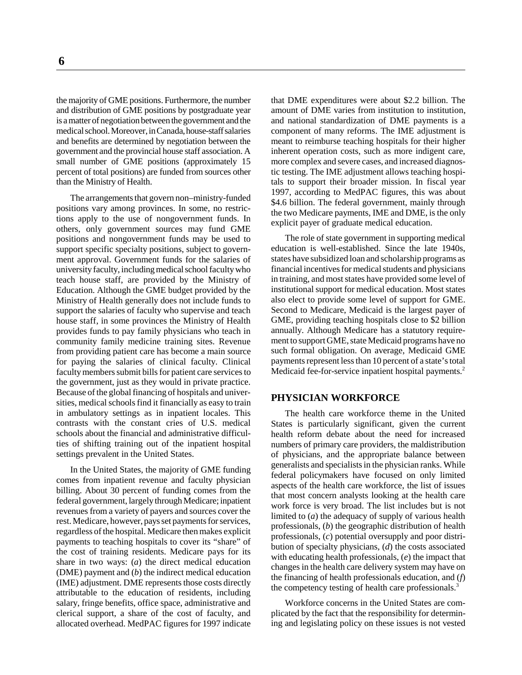the majority of GME positions. Furthermore, the number and distribution of GME positions by postgraduate year

is a matter of negotiation between the government and the medical school. Moreover, in Canada, house-staff salaries and benefits are determined by negotiation between the government and the provincial house staff association. A small number of GME positions (approximately 15 percent of total positions) are funded from sources other than the Ministry of Health.

The arrangements that govern non–ministry-funded positions vary among provinces. In some, no restrictions apply to the use of nongovernment funds. In others, only government sources may fund GME positions and nongovernment funds may be used to support specific specialty positions, subject to government approval. Government funds for the salaries of university faculty, including medical school faculty who teach house staff, are provided by the Ministry of Education. Although the GME budget provided by the Ministry of Health generally does not include funds to support the salaries of faculty who supervise and teach house staff, in some provinces the Ministry of Health provides funds to pay family physicians who teach in community family medicine training sites. Revenue from providing patient care has become a main source for paying the salaries of clinical faculty. Clinical faculty members submit bills for patient care services to the government, just as they would in private practice. Because of the global financing of hospitals and universities, medical schools find it financially as easy to train in ambulatory settings as in inpatient locales. This contrasts with the constant cries of U.S. medical schools about the financial and administrative difficulties of shifting training out of the inpatient hospital settings prevalent in the United States.

In the United States, the majority of GME funding comes from inpatient revenue and faculty physician billing. About 30 percent of funding comes from the federal government, largely through Medicare; inpatient revenues from a variety of payers and sources cover the rest. Medicare, however, pays set payments for services, regardless of the hospital. Medicare then makes explicit payments to teaching hospitals to cover its "share" of the cost of training residents. Medicare pays for its share in two ways: (*a*) the direct medical education (DME) payment and (*b*) the indirect medical education (IME) adjustment. DME represents those costs directly attributable to the education of residents, including salary, fringe benefits, office space, administrative and clerical support, a share of the cost of faculty, and allocated overhead. MedPAC figures for 1997 indicate that DME expenditures were about \$2.2 billion. The amount of DME varies from institution to institution, and national standardization of DME payments is a component of many reforms. The IME adjustment is meant to reimburse teaching hospitals for their higher inherent operation costs, such as more indigent care, more complex and severe cases, and increased diagnostic testing. The IME adjustment allows teaching hospitals to support their broader mission. In fiscal year 1997, according to MedPAC figures, this was about \$4.6 billion. The federal government, mainly through the two Medicare payments, IME and DME, is the only explicit payer of graduate medical education.

The role of state government in supporting medical education is well-established. Since the late 1940s, states have subsidized loan and scholarship programs as financial incentives for medical students and physicians in training, and most states have provided some level of institutional support for medical education. Most states also elect to provide some level of support for GME. Second to Medicare, Medicaid is the largest payer of GME, providing teaching hospitals close to \$2 billion annually. Although Medicare has a statutory requirement to support GME, state Medicaid programs have no such formal obligation. On average, Medicaid GME payments represent less than 10 percent of a state's total Medicaid fee-for-service inpatient hospital payments.<sup>2</sup>

## **PHYSICIAN WORKFORCE**

The health care workforce theme in the United States is particularly significant, given the current health reform debate about the need for increased numbers of primary care providers, the maldistribution of physicians, and the appropriate balance between generalists and specialists in the physician ranks. While federal policymakers have focused on only limited aspects of the health care workforce, the list of issues that most concern analysts looking at the health care work force is very broad. The list includes but is not limited to (*a*) the adequacy of supply of various health professionals, (*b*) the geographic distribution of health professionals, (*c*) potential oversupply and poor distribution of specialty physicians, (*d*) the costs associated with educating health professionals, (*e*) the impact that changes in the health care delivery system may have on the financing of health professionals education, and (*f*) the competency testing of health care professionals.<sup>3</sup>

Workforce concerns in the United States are complicated by the fact that the responsibility for determining and legislating policy on these issues is not vested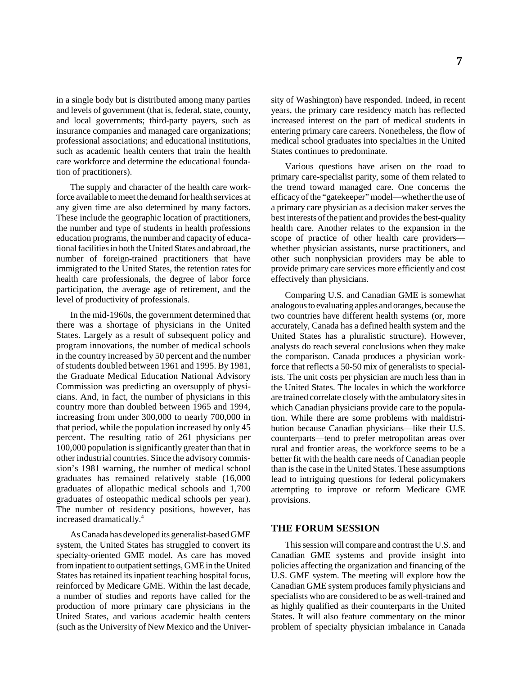in a single body but is distributed among many parties and levels of government (that is, federal, state, county, and local governments; third-party payers, such as insurance companies and managed care organizations; professional associations; and educational institutions, such as academic health centers that train the health care workforce and determine the educational foundation of practitioners).

The supply and character of the health care workforce available to meet the demand for health services at any given time are also determined by many factors. These include the geographic location of practitioners, the number and type of students in health professions education programs, the number and capacity of educational facilities in both the United States and abroad, the number of foreign-trained practitioners that have immigrated to the United States, the retention rates for health care professionals, the degree of labor force participation, the average age of retirement, and the level of productivity of professionals.

In the mid-1960s, the government determined that there was a shortage of physicians in the United States. Largely as a result of subsequent policy and program innovations, the number of medical schools in the country increased by 50 percent and the number of students doubled between 1961 and 1995. By 1981, the Graduate Medical Education National Advisory Commission was predicting an oversupply of physicians. And, in fact, the number of physicians in this country more than doubled between 1965 and 1994, increasing from under 300,000 to nearly 700,000 in that period, while the population increased by only 45 percent. The resulting ratio of 261 physicians per 100,000 population is significantly greater than that in other industrial countries. Since the advisory commission's 1981 warning, the number of medical school graduates has remained relatively stable (16,000 graduates of allopathic medical schools and 1,700 graduates of osteopathic medical schools per year). The number of residency positions, however, has increased dramatically.4

As Canada has developed its generalist-based GME system, the United States has struggled to convert its specialty-oriented GME model. As care has moved from inpatient to outpatient settings, GME in the United States has retained its inpatient teaching hospital focus, reinforced by Medicare GME. Within the last decade, a number of studies and reports have called for the production of more primary care physicians in the United States, and various academic health centers (such as the University of New Mexico and the University of Washington) have responded. Indeed, in recent years, the primary care residency match has reflected increased interest on the part of medical students in entering primary care careers. Nonetheless, the flow of medical school graduates into specialties in the United States continues to predominate.

Various questions have arisen on the road to primary care-specialist parity, some of them related to the trend toward managed care. One concerns the efficacy of the "gatekeeper" model—whether the use of a primary care physician as a decision maker serves the best interests of the patient and provides the best-quality health care. Another relates to the expansion in the scope of practice of other health care providers whether physician assistants, nurse practitioners, and other such nonphysician providers may be able to provide primary care services more efficiently and cost effectively than physicians.

Comparing U.S. and Canadian GME is somewhat analogous to evaluating apples and oranges, because the two countries have different health systems (or, more accurately, Canada has a defined health system and the United States has a pluralistic structure). However, analysts do reach several conclusions when they make the comparison. Canada produces a physician workforce that reflects a 50-50 mix of generalists to specialists. The unit costs per physician are much less than in the United States. The locales in which the workforce are trained correlate closely with the ambulatory sites in which Canadian physicians provide care to the population. While there are some problems with maldistribution because Canadian physicians—like their U.S. counterparts—tend to prefer metropolitan areas over rural and frontier areas, the workforce seems to be a better fit with the health care needs of Canadian people than is the case in the United States. These assumptions lead to intriguing questions for federal policymakers attempting to improve or reform Medicare GME provisions.

#### **THE FORUM SESSION**

This session will compare and contrast the U.S. and Canadian GME systems and provide insight into policies affecting the organization and financing of the U.S. GME system. The meeting will explore how the Canadian GME system produces family physicians and specialists who are considered to be as well-trained and as highly qualified as their counterparts in the United States. It will also feature commentary on the minor problem of specialty physician imbalance in Canada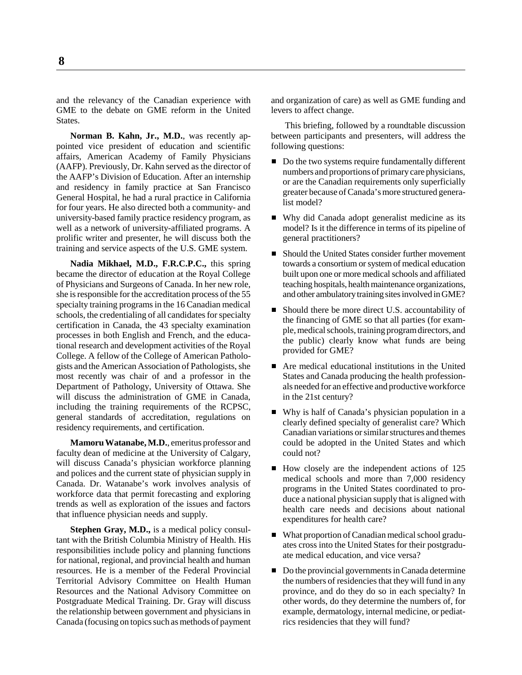and the relevancy of the Canadian experience with GME to the debate on GME reform in the United **States**.

**Norman B. Kahn, Jr., M.D.**, was recently appointed vice president of education and scientific affairs, American Academy of Family Physicians (AAFP). Previously, Dr. Kahn served as the director of the AAFP's Division of Education. After an internship and residency in family practice at San Francisco General Hospital, he had a rural practice in California for four years. He also directed both a community- and university-based family practice residency program, as well as a network of university-affiliated programs. A prolific writer and presenter, he will discuss both the training and service aspects of the U.S. GME system.

**Nadia Mikhael, M.D., F.R.C.P.C.,** this spring became the director of education at the Royal College of Physicians and Surgeons of Canada. In her new role, she is responsible for the accreditation process of the 55 specialty training programs in the 16 Canadian medical schools, the credentialing of all candidates for specialty certification in Canada, the 43 specialty examination processes in both English and French, and the educational research and development activities of the Royal College. A fellow of the College of American Pathologists and the American Association of Pathologists, she most recently was chair of and a professor in the Department of Pathology, University of Ottawa. She will discuss the administration of GME in Canada, including the training requirements of the RCPSC, general standards of accreditation, regulations on residency requirements, and certification.

**Mamoru Watanabe, M.D.**, emeritus professor and faculty dean of medicine at the University of Calgary, will discuss Canada's physician workforce planning and polices and the current state of physician supply in Canada. Dr. Watanabe's work involves analysis of workforce data that permit forecasting and exploring trends as well as exploration of the issues and factors that influence physician needs and supply.

**Stephen Gray, M.D.,** is a medical policy consultant with the British Columbia Ministry of Health. His responsibilities include policy and planning functions for national, regional, and provincial health and human resources. He is a member of the Federal Provincial Territorial Advisory Committee on Health Human Resources and the National Advisory Committee on Postgraduate Medical Training. Dr. Gray will discuss the relationship between government and physicians in Canada (focusing on topics such as methods of payment and organization of care) as well as GME funding and levers to affect change.

This briefing, followed by a roundtable discussion between participants and presenters, will address the following questions:

- Do the two systems require fundamentally different numbers and proportions of primary care physicians, or are the Canadian requirements only superficially greater because of Canada's more structured generalist model?
- Why did Canada adopt generalist medicine as its model? Is it the difference in terms of its pipeline of general practitioners?
- Should the United States consider further movement towards a consortium or system of medical education built upon one or more medical schools and affiliated teaching hospitals, health maintenance organizations, and other ambulatory training sites involved in GME?
- Should there be more direct U.S. accountability of the financing of GME so that all parties (for example, medical schools, training program directors, and the public) clearly know what funds are being provided for GME?
- Are medical educational institutions in the United States and Canada producing the health professionals needed for an effective and productive workforce in the 21st century?
- Why is half of Canada's physician population in a clearly defined specialty of generalist care? Which Canadian variations or similar structures and themes could be adopted in the United States and which could not?
- How closely are the independent actions of 125 medical schools and more than 7,000 residency programs in the United States coordinated to produce a national physician supply that is aligned with health care needs and decisions about national expenditures for health care?
- What proportion of Canadian medical school graduates cross into the United States for their postgraduate medical education, and vice versa?
- Do the provincial governments in Canada determine the numbers of residencies that they will fund in any province, and do they do so in each specialty? In other words, do they determine the numbers of, for example, dermatology, internal medicine, or pediatrics residencies that they will fund?